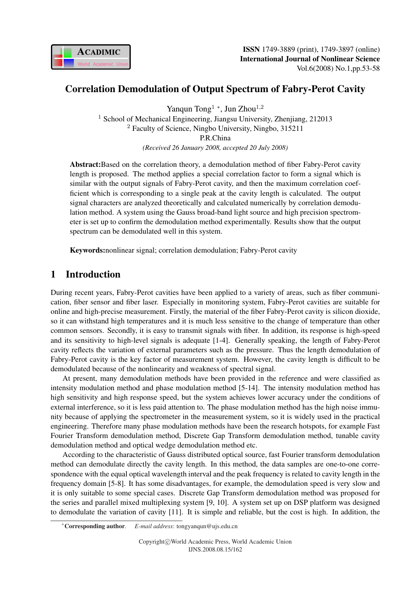

### Correlation Demodulation of Output Spectrum of Fabry-Perot Cavity

Yanqun Tong<sup>1</sup> \*, Jun Zhou<sup>1,2</sup> <sup>1</sup> School of Mechanical Engineering, Jiangsu University, Zhenjiang, 212013 <sup>2</sup> Faculty of Science, Ningbo University, Ningbo, 315211 P.R.China *(Received 26 January 2008, accepted 20 July 2008)*

Abstract:Based on the correlation theory, a demodulation method of fiber Fabry-Perot cavity length is proposed. The method applies a special correlation factor to form a signal which is similar with the output signals of Fabry-Perot cavity, and then the maximum correlation coefficient which is corresponding to a single peak at the cavity length is calculated. The output signal characters are analyzed theoretically and calculated numerically by correlation demodulation method. A system using the Gauss broad-band light source and high precision spectrometer is set up to confirm the demodulation method experimentally. Results show that the output spectrum can be demodulated well in this system.

Keywords:nonlinear signal; correlation demodulation; Fabry-Perot cavity

# 1 Introduction

During recent years, Fabry-Perot cavities have been applied to a variety of areas, such as fiber communication, fiber sensor and fiber laser. Especially in monitoring system, Fabry-Perot cavities are suitable for online and high-precise measurement. Firstly, the material of the fiber Fabry-Perot cavity is silicon dioxide, so it can withstand high temperatures and it is much less sensitive to the change of temperature than other common sensors. Secondly, it is easy to transmit signals with fiber. In addition, its response is high-speed and its sensitivity to high-level signals is adequate [1-4]. Generally speaking, the length of Fabry-Perot cavity reflects the variation of external parameters such as the pressure. Thus the length demodulation of Fabry-Perot cavity is the key factor of measurement system. However, the cavity length is difficult to be demodulated because of the nonlinearity and weakness of spectral signal.

At present, many demodulation methods have been provided in the reference and were classified as intensity modulation method and phase modulation method [5-14]. The intensity modulation method has high sensitivity and high response speed, but the system achieves lower accuracy under the conditions of external interference, so it is less paid attention to. The phase modulation method has the high noise immunity because of applying the spectrometer in the measurement system, so it is widely used in the practical engineering. Therefore many phase modulation methods have been the research hotspots, for example Fast Fourier Transform demodulation method, Discrete Gap Transform demodulation method, tunable cavity demodulation method and optical wedge demodulation method etc.

According to the characteristic of Gauss distributed optical source, fast Fourier transform demodulation method can demodulate directly the cavity length. In this method, the data samples are one-to-one correspondence with the equal optical wavelength interval and the peak frequency is related to cavity length in the frequency domain [5-8]. It has some disadvantages, for example, the demodulation speed is very slow and it is only suitable to some special cases. Discrete Gap Transform demodulation method was proposed for the series and parallel mixed multiplexing system [9, 10]. A system set up on DSP platform was designed to demodulate the variation of cavity [11]. It is simple and reliable, but the cost is high. In addition, the

<sup>∗</sup>Corresponding author. *E-mail address*: tongyanqun@ujs.edu.cn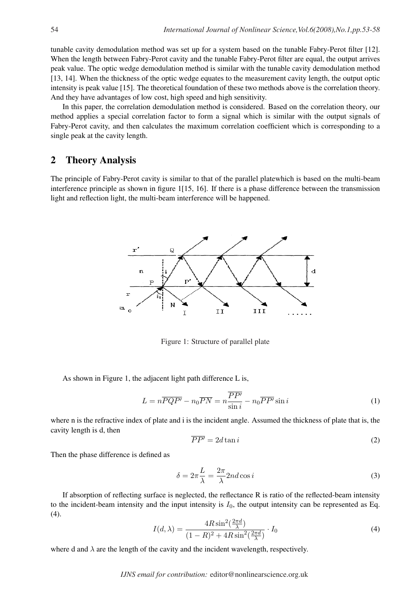tunable cavity demodulation method was set up for a system based on the tunable Fabry-Perot filter [12]. When the length between Fabry-Perot cavity and the tunable Fabry-Perot filter are equal, the output arrives peak value. The optic wedge demodulation method is similar with the tunable cavity demodulation method [13, 14]. When the thickness of the optic wedge equates to the measurement cavity length, the output optic intensity is peak value [15]. The theoretical foundation of these two methods above is the correlation theory. And they have advantages of low cost, high speed and high sensitivity.

In this paper, the correlation demodulation method is considered. Based on the correlation theory, our method applies a special correlation factor to form a signal which is similar with the output signals of Fabry-Perot cavity, and then calculates the maximum correlation coefficient which is corresponding to a single peak at the cavity length.

#### 2 Theory Analysis

The principle of Fabry-Perot cavity is similar to that of the parallel platewhich is based on the multi-beam interference principle as shown in figure 1[15, 16]. If there is a phase difference between the transmission light and reflection light, the multi-beam interference will be happened.



Figure 1: Structure of parallel plate

As shown in Figure 1, the adjacent light path difference L is,

$$
L = n \overline{PQP'} - n_0 \overline{PN} = n \frac{\overline{PP'}}{\sin i} - n_0 \overline{PP'} \sin i
$$
 (1)

where n is the refractive index of plate and i is the incident angle. Assumed the thickness of plate that is, the cavity length is d, then

$$
\overline{PP'} = 2d \tan i \tag{2}
$$

Then the phase difference is defined as

$$
\delta = 2\pi \frac{L}{\lambda} = \frac{2\pi}{\lambda} 2nd \cos i
$$
\n(3)

If absorption of reflecting surface is neglected, the reflectance R is ratio of the reflected-beam intensity to the incident-beam intensity and the input intensity is  $I_0$ , the output intensity can be represented as Eq.  $(4).$ 

$$
I(d,\lambda) = \frac{4R\sin^2(\frac{2\pi d}{\lambda})}{(1-R)^2 + 4R\sin^2(\frac{2\pi d}{\lambda})} \cdot I_0
$$
\n(4)

where d and  $\lambda$  are the length of the cavity and the incident wavelength, respectively.

*IJNS email for contribution:* editor@nonlinearscience.org.uk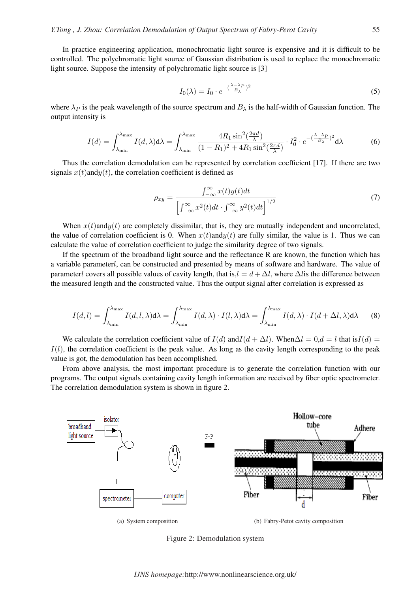In practice engineering application, monochromatic light source is expensive and it is difficult to be controlled. The polychromatic light source of Gaussian distribution is used to replace the monochromatic light source. Suppose the intensity of polychromatic light source is [3]

$$
I_0(\lambda) = I_0 \cdot e^{-\left(\frac{\lambda - \lambda_p}{B_\lambda}\right)^2} \tag{5}
$$

where  $\lambda_P$  is the peak wavelength of the source spectrum and  $B_\lambda$  is the half-width of Gaussian function. The output intensity is

$$
I(d) = \int_{\lambda_{\min}}^{\lambda_{\max}} I(d,\lambda) d\lambda = \int_{\lambda_{\min}}^{\lambda_{\max}} \frac{4R_1 \sin^2(\frac{2\pi d}{\lambda})}{(1 - R_1)^2 + 4R_1 \sin^2(\frac{2\pi d}{\lambda})} \cdot I_0^2 \cdot e^{-(\frac{\lambda - \lambda_p}{B_\lambda})^2} d\lambda \tag{6}
$$

Thus the correlation demodulation can be represented by correlation coefficient [17]. If there are two signals  $x(t)$  and  $y(t)$ , the correlation coefficient is defined as

$$
\rho_{xy} = \frac{\int_{-\infty}^{\infty} x(t)y(t)dt}{\left[\int_{-\infty}^{\infty} x^2(t)dt \cdot \int_{-\infty}^{\infty} y^2(t)dt\right]^{1/2}}
$$
(7)

When  $x(t)$  and  $y(t)$  are completely dissimilar, that is, they are mutually independent and uncorrelated, the value of correlation coefficient is 0. When  $x(t)$  and  $y(t)$  are fully similar, the value is 1. Thus we can calculate the value of correlation coefficient to judge the similarity degree of two signals.

If the spectrum of the broadband light source and the reflectance R are known, the function which has a variable parameterl, can be constructed and presented by means of software and hardware. The value of parameterl covers all possible values of cavity length, that is, $l = d + \Delta l$ , where  $\Delta l$  is the difference between the measured length and the constructed value. Thus the output signal after correlation is expressed as

$$
I(d,l) = \int_{\lambda_{\min}}^{\lambda_{\max}} I(d,l,\lambda) d\lambda = \int_{\lambda_{\min}}^{\lambda_{\max}} I(d,\lambda) \cdot I(l,\lambda) d\lambda = \int_{\lambda_{\min}}^{\lambda_{\max}} I(d,\lambda) \cdot I(d+\Delta l,\lambda) d\lambda \tag{8}
$$

We calculate the correlation coefficient value of  $I(d)$  and  $I(d + \Delta l)$ . When  $\Delta l = 0, d = l$  that is  $I(d) =$  $I(l)$ , the correlation coefficient is the peak value. As long as the cavity length corresponding to the peak value is got, the demodulation has been accomplished.

From above analysis, the most important procedure is to generate the correlation function with our programs. The output signals containing cavity length information are received by fiber optic spectrometer. The correlation demodulation system is shown in figure 2.



Figure 2: Demodulation system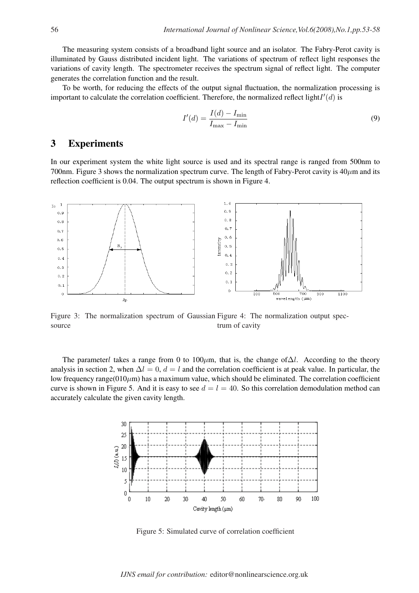The measuring system consists of a broadband light source and an isolator. The Fabry-Perot cavity is illuminated by Gauss distributed incident light. The variations of spectrum of reflect light responses the variations of cavity length. The spectrometer receives the spectrum signal of reflect light. The computer generates the correlation function and the result.

To be worth, for reducing the effects of the output signal fluctuation, the normalization processing is important to calculate the correlation coefficient. Therefore, the normalized reflect light  $I'(d)$  is

$$
I'(d) = \frac{I(d) - I_{\min}}{I_{\max} - I_{\min}}\tag{9}
$$

#### 3 Experiments

In our experiment system the white light source is used and its spectral range is ranged from 500nm to 700nm. Figure 3 shows the normalization spectrum curve. The length of Fabry-Perot cavity is  $40 \mu m$  and its reflection coefficient is 0.04. The output spectrum is shown in Figure 4.



Figure 3: The normalization spectrum of Gaussian Figure 4: The normalization output specsource trum of cavity

The parameterl takes a range from 0 to 100 $\mu$ m, that is, the change of $\Delta l$ . According to the theory analysis in section 2, when  $\Delta l = 0$ ,  $d = l$  and the correlation coefficient is at peak value. In particular, the low frequency range( $010\mu$ m) has a maximum value, which should be eliminated. The correlation coefficient curve is shown in Figure 5. And it is easy to see  $d = l = 40$ . So this correlation demodulation method can accurately calculate the given cavity length.



Figure 5: Simulated curve of correlation coefficient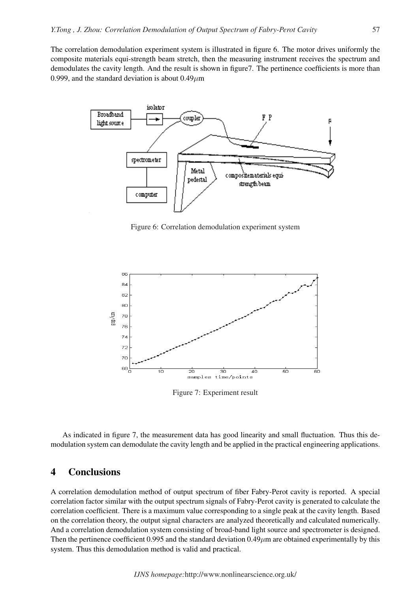The correlation demodulation experiment system is illustrated in figure 6. The motor drives uniformly the composite materials equi-strength beam stretch, then the measuring instrument receives the spectrum and demodulates the cavity length. And the result is shown in figure7. The pertinence coefficients is more than 0.999, and the standard deviation is about  $0.49 \mu m$ 



Figure 6: Correlation demodulation experiment system



Figure 7: Experiment result

As indicated in figure 7, the measurement data has good linearity and small fluctuation. Thus this demodulation system can demodulate the cavity length and be applied in the practical engineering applications.

### 4 Conclusions

A correlation demodulation method of output spectrum of fiber Fabry-Perot cavity is reported. A special correlation factor similar with the output spectrum signals of Fabry-Perot cavity is generated to calculate the correlation coefficient. There is a maximum value corresponding to a single peak at the cavity length. Based on the correlation theory, the output signal characters are analyzed theoretically and calculated numerically. And a correlation demodulation system consisting of broad-band light source and spectrometer is designed. Then the pertinence coefficient 0.995 and the standard deviation  $0.49\mu$ m are obtained experimentally by this system. Thus this demodulation method is valid and practical.